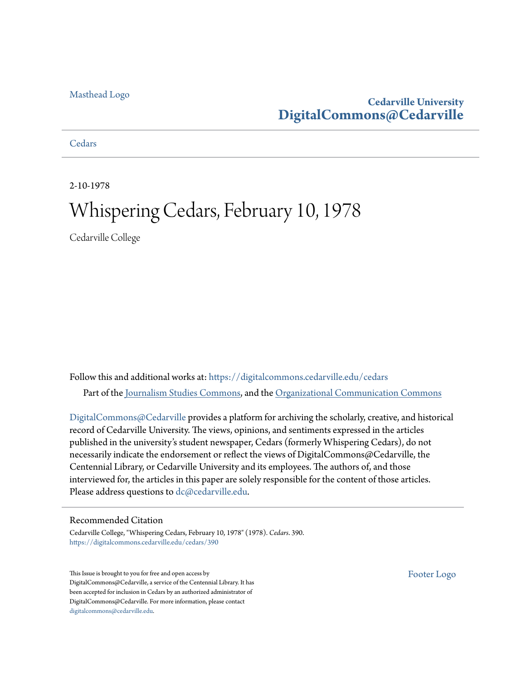#### [Masthead Logo](http://www.cedarville.edu/?utm_source=digitalcommons.cedarville.edu%2Fcedars%2F390&utm_medium=PDF&utm_campaign=PDFCoverPages)

#### **Cedarville University [DigitalCommons@Cedarville](https://digitalcommons.cedarville.edu?utm_source=digitalcommons.cedarville.edu%2Fcedars%2F390&utm_medium=PDF&utm_campaign=PDFCoverPages)**

**[Cedars](https://digitalcommons.cedarville.edu/cedars?utm_source=digitalcommons.cedarville.edu%2Fcedars%2F390&utm_medium=PDF&utm_campaign=PDFCoverPages)** 

2-10-1978

## Whispering Cedars, February 10, 1978

Cedarville College

Follow this and additional works at: [https://digitalcommons.cedarville.edu/cedars](https://digitalcommons.cedarville.edu/cedars?utm_source=digitalcommons.cedarville.edu%2Fcedars%2F390&utm_medium=PDF&utm_campaign=PDFCoverPages) Part of the [Journalism Studies Commons](http://network.bepress.com/hgg/discipline/333?utm_source=digitalcommons.cedarville.edu%2Fcedars%2F390&utm_medium=PDF&utm_campaign=PDFCoverPages), and the [Organizational Communication Commons](http://network.bepress.com/hgg/discipline/335?utm_source=digitalcommons.cedarville.edu%2Fcedars%2F390&utm_medium=PDF&utm_campaign=PDFCoverPages)

[DigitalCommons@Cedarville](http://digitalcommons.cedarville.edu/) provides a platform for archiving the scholarly, creative, and historical record of Cedarville University. The views, opinions, and sentiments expressed in the articles published in the university's student newspaper, Cedars (formerly Whispering Cedars), do not necessarily indicate the endorsement or reflect the views of DigitalCommons@Cedarville, the Centennial Library, or Cedarville University and its employees. The authors of, and those interviewed for, the articles in this paper are solely responsible for the content of those articles. Please address questions to [dc@cedarville.edu.](mailto:dc@cedarville.edu)

#### Recommended Citation

Cedarville College, "Whispering Cedars, February 10, 1978" (1978). *Cedars*. 390. [https://digitalcommons.cedarville.edu/cedars/390](https://digitalcommons.cedarville.edu/cedars/390?utm_source=digitalcommons.cedarville.edu%2Fcedars%2F390&utm_medium=PDF&utm_campaign=PDFCoverPages)

This Issue is brought to you for free and open access by DigitalCommons@Cedarville, a service of the Centennial Library. It has been accepted for inclusion in Cedars by an authorized administrator of DigitalCommons@Cedarville. For more information, please contact [digitalcommons@cedarville.edu](mailto:digitalcommons@cedarville.edu).

[Footer Logo](http://www.cedarville.edu/Academics/Library.aspx?utm_source=digitalcommons.cedarville.edu%2Fcedars%2F390&utm_medium=PDF&utm_campaign=PDFCoverPages)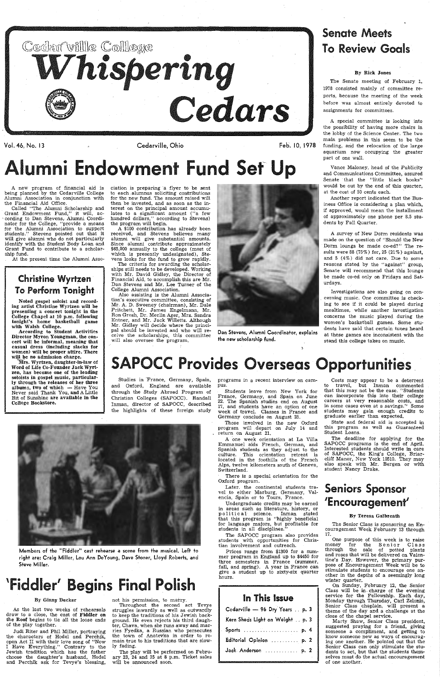

Vol. 46, No. 13 Cedarville, Ohio Feb. I 0, 1978

# Alumni Endowment Fund Set- Up

A new program of financial aid is being planned by the Cedarville College Alumni Association in conjunction with the Financial Aid Office.

### Christine Wyrtzen **To Perform Tonight**

Called "The Alumni Scholarship and Grant Endowment F'und," it will, according to Dan Stevens, Alumni Coordinator for the College, ''provide a meansfor the Alumni Association to support students." Stevens pointed out that it will give alumni who do not particularly identify with the Student Body Loan and Grant Fund to contribute to a scholarship fund.

At the present time the Alumni Assa-

Noted gospel soloist and recording artist Christine Wyrtzen will be presenting a concert tonight in the College Chapel af 10 p.m. following tonight's home basketball game with Walsh College.

ciation is preparing a flyer to be sent to each alumnus soliciting contributions for the new fund. The amount raised will then be invested, and as soon as the interest on the principal amount accumulates to a significant amount ("a few hundred dollars," according to Stevens) the program will begin.

# Senate Meets **To Review Goals**

A special committee is looking into the possibility of having more chairs in the lobby of the Science Center. The two main problems in this seem to be the funding, and the relocation of the large aquarium now occupying the greater part of one wall.

A \$100 contribution has already been received, and Stevens believes many alumni will give substantial amounts. Since alumni contribute approximately \$65,000 annually to the college (most of which is presently undesignated), Stevens looks for the fund to grow rapidly.

Vance Maloney, head of the Publicity and Communications Committee, assured Senate that the "little black books'' would be out by the end of this quarter, at the cost of 50 cents each.

Another report indicated that the Business Office is considering a plan which, if approved, would mean the installment of approximately one phone per 8.5 students by Fall Quarter.

The criteria for awarding the scholarships still needs to be developed. Working with Mr. David Gidley, the Director of Financial Aid, to accomplish this are Mr. Dan Stevens and Mr. Lee Turner of the College Alumni Association.

Also assisting is the Alumni Association's executive committee, consisting of Mr. A. D. Sweeney (chairman), Mr. Dale Pritchett, Mr. James Engelmann, Mr. Ron Grosh, Dr. Merlin Ager, Mrs. Sandra Entner, and Mr. Jack Willetts. Although Mr. Gidley will decide- where the principal should be invested and who will receive the scholarships, this committee will also oversee the program.

Mrs. Wyrtzen, daughter-in-law of Word of Life Co-Founder Jack Wyrtzen, has become one of the leading soloists in gospel music, particularly through the releases of her three albums, two of which — Have You Never said Thank You, and A Little Bit of Sunshine are available in the College Bookstore.



Dan Stevens, Alumni Coordinator, explains the new scholarship fund.

'

#### By Rick Jones

Members of the "Fiddler" cast rehearse a scene from the musical. Left to right are: Craig Miller, Lou Ann DeYoung, Dave Stoner, Lloyd Roberts, and Steve Miller.

The Senate meeting of February 1, 1978 consisted mainly of committee reports, because the meeting of the week before was almost entirely devoted to assignments for committees.

programs in a recent interview on campus.

There *is* a special orientation for the Oxford program.

A survey of New Dorm residents was made on the question of "Shou14 the New Dorm loungs be made co-ed?" The results were 88 (75%) for, 25 (21%) against, and  $5$  (4%) did not care. Due to some reasons stated by the "against" group, Senate will recommend that this lounge be made co-ed only on Fridays and Saturdays.

The SAPOCC program also provides students with opportunities for Christian involvement and outreach.

Prices range from \$1300 for a summer program in England up to \$4450 for three semesters in France (summer, fall, and spring). A year in France can give a student up to sixty~six quarter hours.

Investigations are also going on concerning music. One committee is checking to see if it could be played during mealtimes, while· another investigation concerns the music played during the women's basketball games. Some students have said that certain tunes heard at these games are inconsistent with the stand this college takes on music.

According to Student Activities Director Myron Youngman, the concert will be informal, meaning that casual dress (including slacks for women) will be proper attire. There will be no admission charge.

> On Sunday, February 12, the Senior Class will be in- charge of the evening service for the Fellowship. Each day, Monday through Thursday, Carl Zelonis, Senior Class chaplain, will present a theme of the day and a challenge at the close of the chapel service.

# SAPOCC Provides Overseas Opportunities

Studies in 'France, Germany, Spain, and Oxford, England are available through the Study Abroad Program of Christian Colleges (SAPOCC). Randall Inman, director of SAPOCC, described the highlights of these foreign study

# 'Fiddler' Begins Final Polish

#### By Ginny Decker

As the last two weeks of rehearsals draw to a close, the cast of Fiddler on the Roof begins to tie all the loose ends of the play together.

Judi Riter and Phil Miller, portraying the characters of Hodel and Perchik, open Act II with their love song of ''Now I Have Everything." Contrary to the Jewish tradition which has the father choose the daughter's husband, Hodel and Perchik ask for Tevye's blessing,

not his permission, to marry.

Throughout the second act Tevye struggles inwardly as well as outwardly to keep the traditions of his Jewish back~ ground. He even rejects *his* third daughter, Chava, when she runs away and marries Fyedka, a Russian who persecutes the town of Anatevka *in* order to remain true to his traditions that are slowly fading.

The play will be performed on Febru· ary 23, 24 and 25 at 8 p.m. Ticket sales will be announced soon.

Undergraduate credits may be earned in areas such as literature, history, or po litical science. Inman stated that this program *is* "highly beneficial for language majors, but profitable for students in all disciplines.

Students leave from New York for France, Germany, and Spain on June 22. The Spanish studies end on August 17, and students have an option of one week of travel. Classes in France and Germany conclude on August 25.

Those involved in the new Oxford program will .depart on July 14 and return on August 21.

A one week orientation at La Villa Emmanuel aids French, German, and Spanish students as they adjust to the culture. This orientation retreat *is* located in the foothills of the French Alps, twelve kilometers south of Geneva, Switzerland.

Later. the continental students travel to either Marburg, Germany, Valencia, Spain or to Tours, France.

#### In This Issue

| Cedarville - 96 Dry Years  p. 3  |
|----------------------------------|
| Kern Sheds Light on Weight  p. 3 |
|                                  |
| Editorial Opinion  p. 2          |
| Jack Anderson  p. 2              |
|                                  |

# Seniors Sponsor<br>'Encouragement

Costs may appear to be a deterrent travel, but Inman commented that this may not be the case. "Students can incorporate this into their college careers at very reasonable costs, and in some cases even at a savings.'' Some students may gain enough credits to graduate earlier than expected.

State and federal aid is accepted in this program as well as Guaranteed Student Loans.

The deadline for applying for the SAPOCC programs is the end of April. Interested students should write *in* care of SAPOCC, the King's College, Briarcliff Manor, New York 10510. They may also speak with Mr. Bergen or with student Nancy Drake.



#### By Teresa Galbreath

The Senior Class is sponsoring an Encouragement Week February 13 through 17.

One purpose of this week is to raise money for the Senior Class through the sale of potted plants and roses that will be delivered on Valentine's Day. However, the primary purpose of Encouragement Week will be to stimulate students to encourage one another in the depths of a seemingly long winter quarter.

Marty Shaw, Senior Class president, suggested praying for a friend, giving someone a compliment, and getting to know someone new as ways of encouraging one another. He pointed out that the Senior Class can only stimulate the students to act, but that the students them· selves must do the actual encouragement of one another.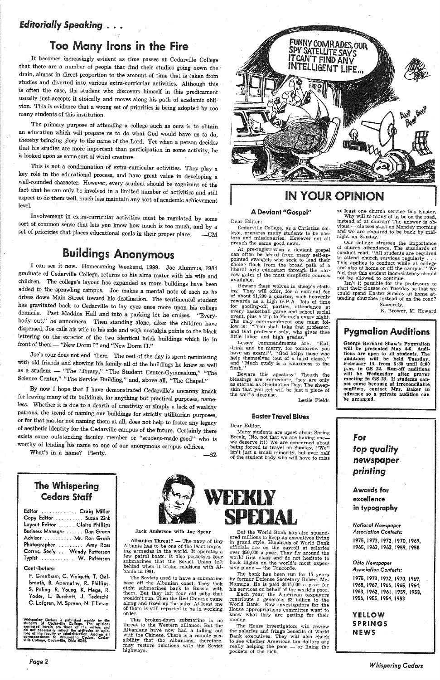### *Editorially Speaking* . • •

### Too Many Irons in the fire

It becomes increasingly evident as time passes at Cedarville College that there are a number of people that find their studies going down the drain, almost in direct proportion to the amount of time that is taken from studies and diverted into various extra-curricular activities. Although this<br>is often the case, the student who discovers himself in this predicament<br>usually just accepts it stoically and moves along his path of academic o vion. This is evidence that a wrong set of priorities is being adopted by too many students of this institution.

Involvement in extra-curricular activities must be regulated by some sort of common sense that lets you know how much is too much, and by <sup>a</sup> set of priorities that places educational goals in their proper place.  $-CM$ 

The primary purpose of attending a college such as ours is to obtain an education which will prepare us to do what God would have us to do, thereby bringing glory to the name of the Lord. Yet when a person decides that his studies are more important than participation in some activity, he is looked upon as some sort of weird creature.

This is not a condemnation of extra-curricular activities. They play a key role in the educational process, and have great value in developing a well-rounded character. However, every student should be cognizant of the fact that he can only be involved in a limited number of activities and still expect to do them well, much less maintain any sort of academic achievement level.

### IN YOUR OPINION

# Buildings Anonymous

At pre-registration a deviant gospel<br>can often be heard from many self-appointed evangels who seek to lead their<br>choice flock from the broad path of a liberal arts education through the narrow gates of the most simplistic courses available.

Beware these wolves in sheep's clothing! They will offer, for a nominal fee of about \$1,200 a quarter, such heavenly of about \$1,200 a quarter, such heavenly rewards as a high G.P.A., lots of time for goofing-off, parties, attendance at every basketball game and school social event, plus a trip to Young's every night.<br>The only commandment one must follow is: "Thou shalt take that professor, and that professor only, who gives thee little labor and high grades."

Lesser commandments are: "Eat, drink and be merry, for tomorrow you have an exam!", "God helps those who help themselves (out of a hard class)," and "Much study is a weariness to the flesh."

Beware this apostasy! Though the blessings are immediate, they are only as eternal as Graduation Day. The sheepskin that you get will be just a piece of the wolf's disguise.

I can see it now. Homecoming Weekend, 1999. Joe Alumnus, 1984 graduate of Cedarville College, returns to his alma mater with his wife and added to the sprawling campus. Joe makes a mental note of each as he drives down Main Street toward his destination. The sentimental student has gravitated back to Cedarville to lay eyes once more upon his college domicile. Past Maddox Hall and into a parking lot he cruises. "Every-<br>body out," he announces. Then standing alone, after the children have dispersed, Joe calls his wife to his side and with nostalgia points to the black lettering on the exterior of the two identical brick buildings which lie in front of them- "New Dorm I" and "New Dorm II."

Joe's tour does not end there. The rest of the day is spent reminiscing with old friends and showing his family all of the buildings he knew so well as a student - "The Library," "The Student Center-Gymnasium," "The Science Center," "The Service Building," and, above all, "The Chapel."

By now I hope that I have demonstrated Cedarville's uncanny knack for leaving many of its buildings, for anything but practical purposes, nameless. Whether it is due to a dearth of creativity or simply a lack of wealthy patrons, the trend of naming our buildings for strictly utilitarian purposes, or for that matter not naming them at all, does not help to foster any legacy of aesthetic identity for the Cedarville campus of the future. Certainly there<br>exists some outstanding faculty member or "student-made-good" who is worthy of lending'his name to one of our anonymous campus edifices.

What's in a name? Plenty. - SZ

FUNNY COMRADES, OUR SPY SÁTÉLLITE SAVS ITCAN'T FIND ANY **INTELLIGENT LIFE** MM Q **Good Boon** ₩

Albanian Threat? -- The navy of tiny Albania has to be one of the least imposing armadas in the world. It operates a few patrol boats. It also possesses four submarines that the Soviet Union left behind when it broke relations with Albania in 1961.

The Soviets used to have a submarine base off the Albanian coast. They took eight submarines back to Russia with them. But they left four old subs that wouldn't run. Then the Red Chinese came along and fixed up the subs. At least one of them is still reported to be in working order.

#### A Deviant "Gospel"

Dear Editor:

Cedarville College) as a Christian col- lege, prepares many students to be pas tors and missionaries. However not all preach the same good news.

World Bank. Now investigators for the House appropriations committee want to know what they are getting for their money.

The House investigators will review the salaries and fringe benefits of World Bank executives. They will also check to see whether American tax dollars are really helping the poor  $-$  or lining the pockets of the rich.

at least one church service this Easter. Why will so many of us be on the road, instead of at church? The answer is ob-<br>vious — classes start on Monday morning and we are required to be back by mid-<br>night on Sunday.

George Bernard Shaw's Pygmalion<br>will be presented May 4-6. Audi-<br>tions are open to all students. The<br>auditions will be held Tuesday. February 14, from  $6:30$  until  $8:00$ p.m. in GS 22. Run-off auditions will be Wednesday after prayer<br>meeting in GS 24. If students cannot come because of irreconcilable conflicts, contact Mrs. Baker in advance so <sup>a</sup>private audition can be arranged.

Leslie Fields

#### Easter Travel Blues

Dear Editor,

Many students are upset about Spring<br>Break. (No, not that we are having one-we deserve it!) We are concerned about<br>being forced to travel on Sunday. "We" isn't just a small minority, but over half of the student body who will have to miss

The Whispering Cedars Staff







But the World Bank has also squandered millions to keep its executives living<br>in grand style. Hundreds of World Bank officials are on the payroll at salaries over \$50,000 a year. They fly around the world first class and do not hesitate to book flights on the world's most expensive plane -- the Concorde.<br>The bank has been run for 15 years

by former Defense Secretary Robert Mc-<br>Namara. He is paid \$115,000 a year for<br>his services on behalf of the world's poor.<br>Each year, the American taxpayers<br>contribute a generous \$2 billion to the

| Editor  Craig Miller           |  |
|--------------------------------|--|
| Copy Editor  Suzan Zink        |  |
| Layout Editor  Claire Phillips |  |
| Business Manager  Dan Green    |  |
| Advisor  Mr. Ron Grosh         |  |
| Photographer  Amy Ross         |  |
| Corres. Sec'y  Wendy Patterson |  |
| Typist  W. Patterson           |  |

#### Contributors:

F. Greetham, C. Vieiguth, T. Galbreath, B. Abernathy, R. Phillips, S. Poling, R. Young, K. Haga, R. Yoder, L. Burchett, J. Tedeschi, C. Lofgren, M. Sprano, N. Tillman.

Whispering Cedars is published weekly by the students of Cedarville College. The opinions expressed herein are those of the writers and do not necessarily reflect the attitudes or opinions of the faculty or administration.

*Page2* 

Jack Anderson with Joe Spear

This broken-down submarine is no threat to the Western alliance. But the Albanians have now had a falling out with the Chinese. There is a remote pos- sibility that the Albanians, therefore, may restore relations with the· Soviet highways.

Our college stresses the importance of church attendance. The standards of conduct read, "All students are required to attend church services regularly . . . This applies to conduct while at college and also at home or off the campus." We feel that this evident inconsistency should not be allowed to continue.

Isn't it possible for the professors to<br>start their classes on Tuesday so that we could spend Easter Sunday at home at-<br>tending churches instead of on the road?

> Sincerely, K. Brower, M. Howard

#### Pygmalion Auditions

for *top quality*  newspaper *printing*  Awards for

excellence

in typography

*National Newspaper Association Contests:*  1975, 1973, 1972, 1970, 1969, 1965, 1963, 1962, 1959, 1958

#### *Ohio Newspaper Association Contests:*

1975, 1973, 1972, 1970, 1969, 1968, 1967, 1966, 1965, 1964, 1963, 1962, 1961, 1959, 1958, 1956, 1955, 1954, 1953

*Whispering Cedars* 

#### **YELLOW** SPRINGS **NEWS**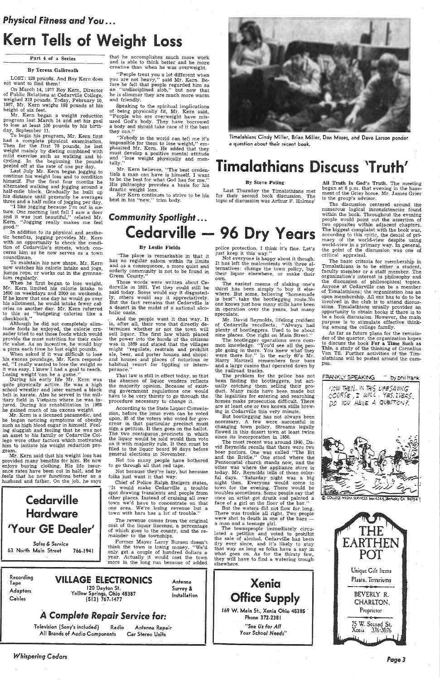### **Physical Fitness and You...**

# Kern Tells of Weight Loss

#### Part 4 of a Series

#### By Teresa Galbreath

LOST: 120 pounds. And Roy Kern does not want to find them!

Mr. Kern began a weight reduction program last March 14 and set his goal to lose at least 100 pounds by his birthday, September 11.

To begin his program., Mr. Kern first had a complete physical examination. Then for the first 70 pounds, he lost weight mainly by dieting combined with mild exercise such as walking and bicycling. In the beginning the pounds peeled off at the rate of one per day.

On March 14, 1977 Roy Kern, Director of Public Relations at Cedarville College, weighed 313 pounds. Today, February 10, 1987, Mr. Kern weighs 193 pounds at his height of six feet.

Speaking to the spiritual implications of being physically fit, Mr. Kern said, "People who are overweight have misused God's body. They have borrowed a body and should take care of it the best they can."

Last July Mr. Kem began jogging to continue his weight loss and to condition himself. For the first four months he alternated walking and jogging around a half-mile block. Gradually he built up his distance until presently he averages three and a half miles of jogging per day.

Mr. Kern believes, "The best credentials a man can have is himself. I want to be the best for what God has for me.'' His philosophy provides a basis for his drastic weight loss.

# *Community Spotlight ...*  Cedarville - 96 Dry Years

that he accomplishes much more work and is able to think better and be more creative than when he was overweight.

> All Truth Is God's Truth. The meeting began at 8 p.m. that evening in the basement of the Grier home. Mr. James Grier is the group's advisor.

"People treat you a lot different when you are not heavy," said Mr. Kern. Before he felt that people regarded him as an "undisciplined slob," but now that he is slimmer they are much more warm and friendly.

"I like jogging because I'm out in nature. One morning last fall I saw a deer and it was just beautiful," related Mr. Kern. "Jogging really makes me feel good."

"Nobody in the world can tell me it's impossible for them to lose weight,'' emphasized Mr. Kern. He added that they must develop a positive mental attitude and ''lose weight physically and men- tally.''

Roy Kern continues to strive to be his best in his "new," trim body.

Timalahians Cindy Miller, Brian Miller, Don Moses, and Dave Larson ponder a question about their recent book.

# Timalathians Discuss 'Truth'

#### By Steve Poling

Last Thursday the Tim'alathians met for their second book discussion. The topic of discussion was Arthur F. Holmes'

*Sales* & Service 63 North Main Street 766-1941

. In addition to its physical and aesthetic benefits, jogging provides Mr. Kern with an opportunity to check the condition of Cedarville's streets, which· concerns him as he now serves as a town councilman.

> And the people want it that way. It is, after all, their vote that directly de- , termines whether or not the town will sell liquor. The first law which placed the power into the hands of the citizens was in 1869 and stated that the villages might "regulate, restrain and prohibit ale, beer, and porter houses and shops: and houses -and places of notorious or habitual resort for tippling or intemperance.

The discussion centered ar0und the numerous logical inconsistencies found within the book. Throughout the evening people would point out the assertion of two opposites within adjacent chapters. The biggest complaint with the book was, according to this critic, the denial of primacy of the world-view despite using world-view in a primary way. In general, the point of the discussion was one of critical appraisal.

Not because they're lazy, but because folks just want it that way.

To maintain his new shape, Mr. Kern now watches his calorie intake and jogs, jumps rope, or works out in the gymnasium regularly.

When he first began. to lose weight, Mr. Kern limited his calorie intake to 1600 on weekdays and 2000 on weekends. If he knew that one day he would go over his allotment, he would intake fewer calories on another day. Mr. Kern referred to this as "budgeting calories like a checkbook.''

> Former Mayor Larry Burson doesn't think the town is losing money. "We'd only get a couple of hundred dollars a year. Actually it would cost the town more in the long run because of added

# Recording **VILLAGE ELECTRONICS** Antenna<br>Advantage 120 Dayton St. Survey & Installation Adaptors Cables 120 Dayton St. Ye'lrow Springs, Ohio 45387 (513) 767-1477

police protection. I think it's fine. Let's just keep it this way.''

Although he did not completely eliminate foods he enjoyed, the calorie crusader tried to eat those foods which would provide the most nutrition for their caloric value. As an incentive, he would buy a pizza each time he lost eight pounds.

When asked if it was difficult to lose his excess poundage, Mr. Kern responded, "I really wanted to lose the weight so it was easy. I knew I had a goal to reach. I,osing weight 'can be a game.''

During his early life Mr. Kern was quite physically active. He was a high school wrestler and later earned a black belt in karate. Also he served in the military field in Vietnam where he was injured. During his rehabilitation in 1968 he gained much of his excess weight.

> But bootlegging has not always been necessary. A few were successful in changing town policy. Streams legally ffowed in this desert town at least twice since its incorporation in 1850.

Mr. Kern is a licensed paramedic, and he began noticing symptoms of obesity such as high blood sugar in himself. Feeling sluggish and feeling that he was not an asset to his family or Cedarville College were other factors which motivated him to initiate his weight reduction program.

Mr. Kern said that his weight loss has provided many benefits for him. He now enjoys buying clothing. His life insurance rates have been cut in half, and he . feels that he now functions better as a husband and father. On the job, he says

The most recent was around 1940. David Reynolds recalls that there were two beer parlors. One was called "The Bit and the Bridle." One stood where the Pentecostal church stands now, and the other was where the appliance store is today. Mr. Reynolds tells of those colorful days. "Saturday night was a big night then. Everyone would come to town for the evening. There would be troubles sometimes. Some people say that once an artist got drunk and painted a face of a girl on the floor of the bar.'' But the waters did not flow for long. There was trouble all right. Two people were shot to death in one of the bars a man and a teenage girl. The townspeople immediately circulated a petition and voted to prohibit the sale of alcohol. Cedarville has been dry ever since, and it's likely to stay that way as long as folks have a say in what goes on. As for the thirsty few, they will· have to find a watering trough elsewhere.



# Hardware 'Your GE Dealer'

169 W. Main St., Xenia Ohio 45385 Phone 372-2381 "See Us for All *Your* School *Needs"* 

#### By Leslie Fields

"The place is remarkable in that it has no regular saloon within its limits and as a consequence, a more quiet and orderly community is not to be found in Green County."

Those words were written about Cedarville in 1881. Yet they could still be said today. Some would say it disgustedly, others would say it appreciatively. But the fact remains that Cedarville is a desert in the midst of a national alcoholic oasis.

'fhat law is still in effect today, so that the , absence of liquor venders reflects the majority opinion. Because of existing government regulations one would have to be very thirsty to go through the procedure necessary to change it.

According to the State Liquor Commission, before the issue even can be voted upon, 35 of the voters who voted for governor in that particular precinct must sign a-petition. It then goes on the ballot. The two contiguous precincts in which the liquor would be sold would then vote on it with majority rule. It then must be filed to the liquor board 90 days before general elections in November.

Not too many people have bothered to go through all that red tape.

Chief of Police Ralph Steigers states, ''It would make Cedarville a trouble spot drawing transients and people from other places. Instead of cruising all over town we'd have to concentrate on that one area. We're losing revenue but a town with bars has a lot" of trouble."



The revenue comes from the original cost of the liquor liscense, a percentage of which goes to the county, and the remainder to the townships.

Recording

Survey &

### *A Complete Repair* Service for:

Television (Sony's included) Radio All Brands of Audio Components Antenna Repair Car Stereo Units

*Whispering Cedars* 

Not everyone is happy about it though. It has left the malcontents with three alternatives: change the town policy, buy their liquor elsewhere, or make their own.

 The easiest means of slaking one's thirst has been simply to buy it elsewhere. But some, believing "homemade is best", take the bootlegging route.No one knows just how many stills have been in operation over the years, but many speculate.

Mr. David Reynolds, lifelong resident of Cedarville recollects; "Always had plenty of bootleggers. Used to be about nine places. One right on Main Street."

The bootlegger operations were common knowledge. "You'd see all the people going in there. You knew whaf they were there for." In the early 60's Mr. Harry Hartzell remembers four bars and a large casino that operated down by the railroad tracks.

 The problem for the police has not been finding the bootleggers, but actually catching them selling their product. Many raids have been made but the legalities for entering and searching homes make prosecution difficult. There are at least one or two known stills brewing in Cedarville this very minute.

> Xenia Office Supply

The basic criteria for membership in Timalathians is to be either a student, faculty member or a staff member. The organization's interest is philosophy and the discussion of philosophical topics. Anyone at Cedarville can be a member of Timalathians; the organization has an open membership. All one has to do to be involved in the club is to attend discussions. Timalathians usually provides an opportunity to obtain books if there is to be a book discussion. However, the main purpose is to stimulate effective thinking among the college family.

As far as future plans for the remainder of the quarter, the organization hopes to discuss the book For a Time Such as This, a study of the thinking of Cornelius Van Til. Further activities of the Timalathians will be posted around the campus.





*Page3*